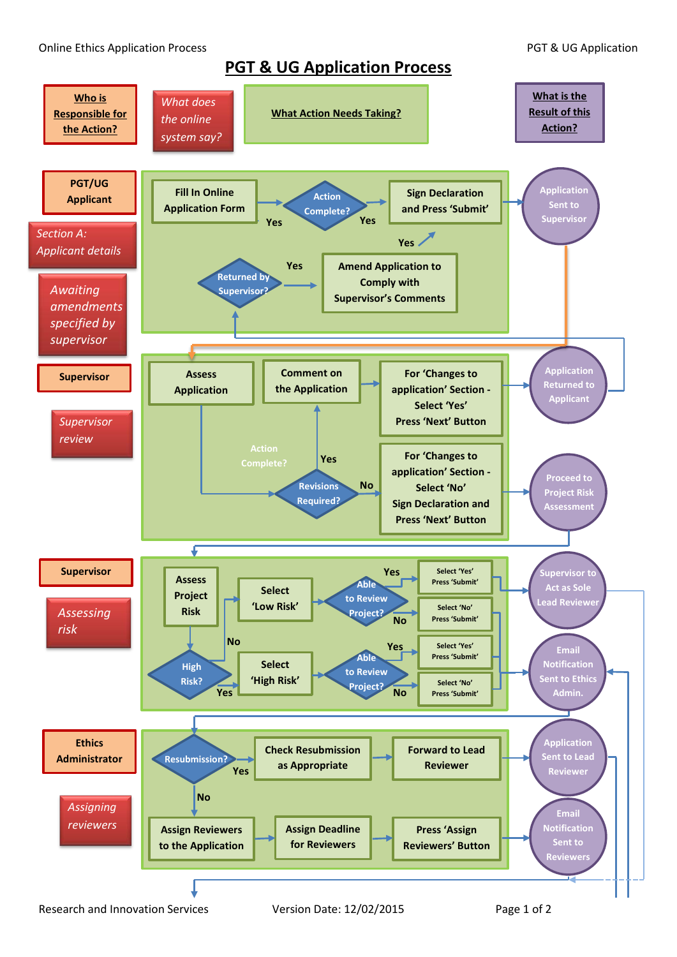**PGT & UG Application Process**